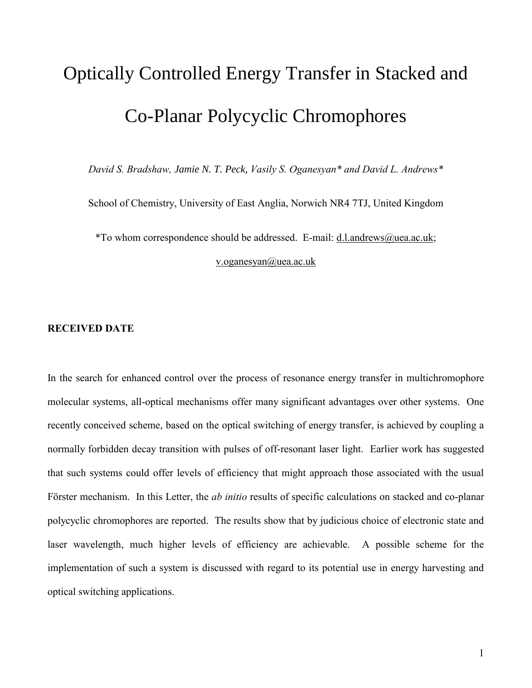## Optically Controlled Energy Transfer in Stacked and Co-Planar Polycyclic Chromophores

*David S. Bradshaw, Jamie N. T. Peck, Vasily S. Oganesyan\* and David L. Andrews\**

School of Chemistry, University of East Anglia, Norwich NR4 7TJ, United Kingdom

\*To whom correspondence should be addressed. E-mail: [d.l.andrews@uea.ac.uk;](mailto:d.l.andrews@uea.ac.uk)

[v.oganesyan@uea.ac.uk](mailto:v.oganesyan@uea.ac.uk)

## **RECEIVED DATE**

In the search for enhanced control over the process of resonance energy transfer in multichromophore molecular systems, all-optical mechanisms offer many significant advantages over other systems. One recently conceived scheme, based on the optical switching of energy transfer, is achieved by coupling a normally forbidden decay transition with pulses of off-resonant laser light. Earlier work has suggested that such systems could offer levels of efficiency that might approach those associated with the usual Förster mechanism. In this Letter, the *ab initio* results of specific calculations on stacked and co-planar polycyclic chromophores are reported. The results show that by judicious choice of electronic state and laser wavelength, much higher levels of efficiency are achievable. A possible scheme for the implementation of such a system is discussed with regard to its potential use in energy harvesting and optical switching applications.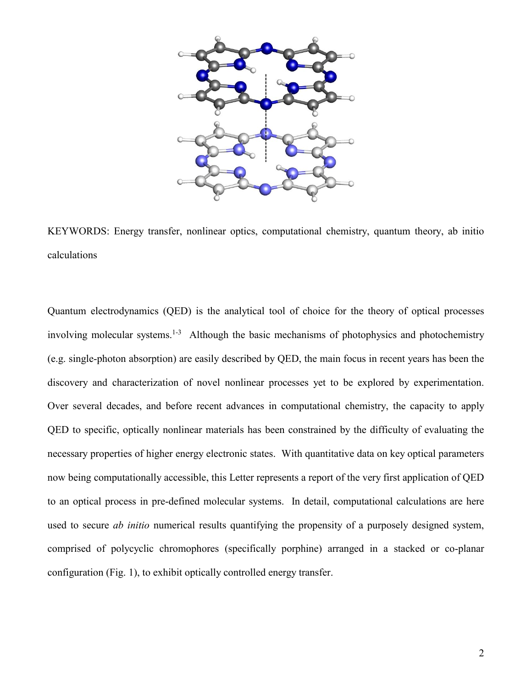

KEYWORDS: Energy transfer, nonlinear optics, computational chemistry, quantum theory, ab initio calculations

Quantum electrodynamics (QED) is the analytical tool of choice for the theory of optical processes involving molecular systems.<sup>1-3</sup> Although the basic mechanisms of photophysics and photochemistry (e.g. single-photon absorption) are easily described by QED, the main focus in recent years has been the discovery and characterization of novel nonlinear processes yet to be explored by experimentation. Over several decades, and before recent advances in computational chemistry, the capacity to apply QED to specific, optically nonlinear materials has been constrained by the difficulty of evaluating the necessary properties of higher energy electronic states. With quantitative data on key optical parameters now being computationally accessible, this Letter represents a report of the very first application of QED to an optical process in pre-defined molecular systems. In detail, computational calculations are here used to secure *ab initio* numerical results quantifying the propensity of a purposely designed system, comprised of polycyclic chromophores (specifically porphine) arranged in a stacked or co-planar configuration (Fig. 1), to exhibit optically controlled energy transfer.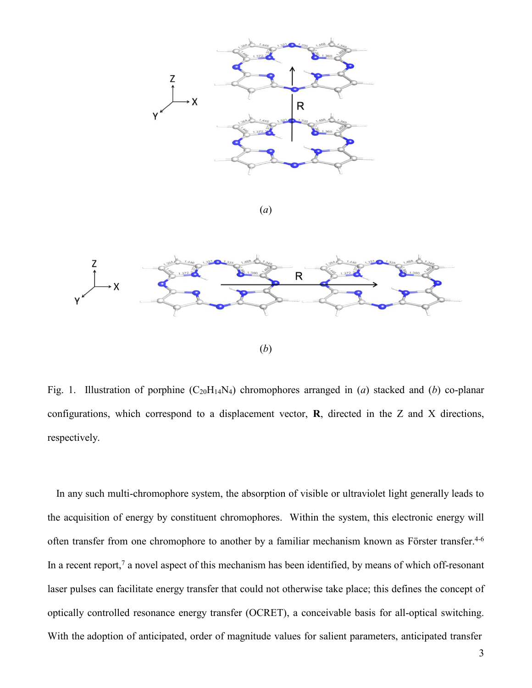

(*a*)



Fig. 1. Illustration of porphine (C20H14N4) chromophores arranged in (*a*) stacked and (*b*) co-planar configurations, which correspond to a displacement vector, **R**, directed in the Z and X directions, respectively.

In any such multi-chromophore system, the absorption of visible or ultraviolet light generally leads to the acquisition of energy by constituent chromophores. Within the system, this electronic energy will often transfer from one chromophore to another by a familiar mechanism known as Förster transfer. 4-6 In a recent report,<sup>7</sup> a novel aspect of this mechanism has been identified, by means of which off-resonant laser pulses can facilitate energy transfer that could not otherwise take place; this defines the concept of optically controlled resonance energy transfer (OCRET), a conceivable basis for all-optical switching. With the adoption of anticipated, order of magnitude values for salient parameters, anticipated transfer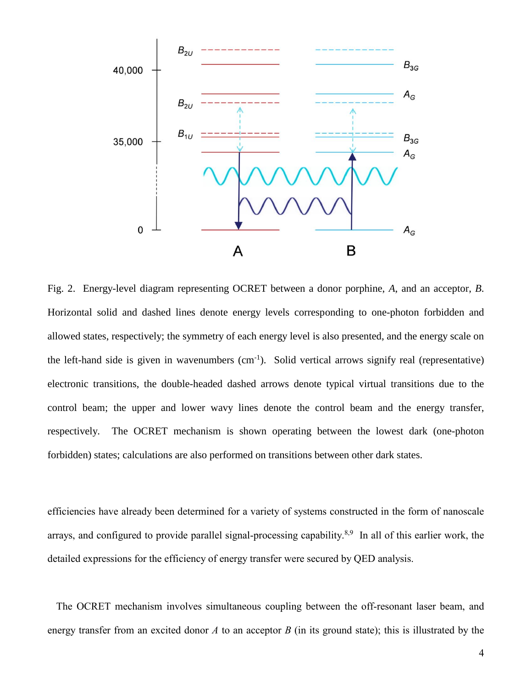

Fig. 2. Energy-level diagram representing OCRET between a donor porphine, *A*, and an acceptor, *B*. Horizontal solid and dashed lines denote energy levels corresponding to one-photon forbidden and allowed states, respectively; the symmetry of each energy level is also presented, and the energy scale on the left-hand side is given in wavenumbers (cm-1 ). Solid vertical arrows signify real (representative) electronic transitions, the double-headed dashed arrows denote typical virtual transitions due to the control beam; the upper and lower wavy lines denote the control beam and the energy transfer, respectively. The OCRET mechanism is shown operating between the lowest dark (one-photon forbidden) states; calculations are also performed on transitions between other dark states.

efficiencies have already been determined for a variety of systems constructed in the form of nanoscale arrays, and configured to provide parallel signal-processing capability.<sup>8,9</sup> In all of this earlier work, the detailed expressions for the efficiency of energy transfer were secured by QED analysis.

The OCRET mechanism involves simultaneous coupling between the off-resonant laser beam, and energy transfer from an excited donor *A* to an acceptor *B* (in its ground state); this is illustrated by the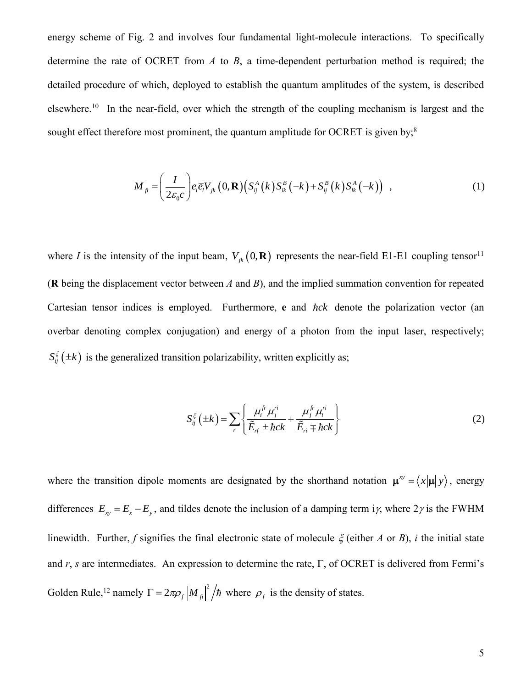energy scheme of Fig. 2 and involves four fundamental light-molecule interactions. To specifically determine the rate of OCRET from *A* to *B*, a time-dependent perturbation method is required; the detailed procedure of which, deployed to establish the quantum amplitudes of the system, is described elsewhere.<sup>10</sup> In the near-field, over which the strength of the coupling mechanism is largest and the sought effect therefore most prominent, the quantum amplitude for OCRET is given by; $^8$ 

$$
M_{fi} = \left(\frac{I}{2\varepsilon_0 c}\right) e_i \overline{e_i} V_{jk} \left(0, \mathbf{R}\right) \left(S_{ij}^A \left(k\right) S_{lk}^B \left(-k\right) + S_{ij}^B \left(k\right) S_{lk}^A \left(-k\right)\right) , \tag{1}
$$

where *I* is the intensity of the input beam,  $V_{jk}$  (0, **R**) represents the near-field E1-E1 coupling tensor<sup>11</sup> (**R** being the displacement vector between *A* and *B*), and the implied summation convention for repeated Cartesian tensor indices is employed. Furthermore, e and hck denote the polarization vector (an overbar denoting complex conjugation) and energy of a photon from the input laser, respectively;  $S_{ij}^{\xi}(\pm k)$  is the generalized transition polarizability, written explicitly as;

$$
S_{ij}^{\xi}(\pm k) = \sum_{r} \left\{ \frac{\mu_i^{fr} \mu_j^{ri}}{\tilde{E}_{rf} \pm \hbar ck} + \frac{\mu_j^{fr} \mu_i^{ri}}{\tilde{E}_{ri} \mp \hbar ck} \right\}
$$
(2)

where the transition dipole moments are designated by the shorthand notation  $\mathbf{\mu}^y = \langle x | \mathbf{\mu} | y \rangle$ , energy differences  $E_{xy} = E_x - E_y$ , and tildes denote the inclusion of a damping term i<sub>l</sub>, where  $2\gamma$  is the FWHM linewidth. Further, *f* signifies the final electronic state of molecule  $\xi$  (either *A* or *B*), *i* the initial state and  $r$ , *s* are intermediates. An expression to determine the rate,  $\Gamma$ , of OCRET is delivered from Fermi's Golden Rule,<sup>12</sup> namely  $\Gamma = 2\pi \rho_f \left| M_f \right|^2 / \hbar$  where  $\rho_f$  is the density of states.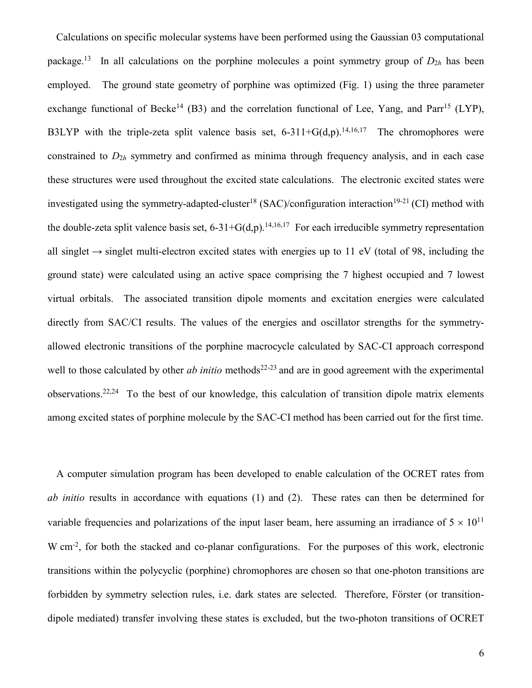Calculations on specific molecular systems have been performed using the Gaussian 03 computational package.<sup>13</sup> In all calculations on the porphine molecules a point symmetry group of  $D_{2h}$  has been employed. The ground state geometry of porphine was optimized (Fig. 1) using the three parameter exchange functional of Becke<sup>14</sup> (B3) and the correlation functional of Lee, Yang, and Parr<sup>15</sup> (LYP), B3LYP with the triple-zeta split valence basis set,  $6-311+G(d,p)$ . <sup>14,16,17</sup> The chromophores were constrained to *D*2*<sup>h</sup>* symmetry and confirmed as minima through frequency analysis, and in each case these structures were used throughout the excited state calculations. The electronic excited states were investigated using the symmetry-adapted-cluster<sup>18</sup> (SAC)/configuration interaction<sup>19-21</sup> (CI) method with the double-zeta split valence basis set,  $6-31+G(d,p)$ .<sup>14,16,17</sup> For each irreducible symmetry representation all singlet  $\rightarrow$  singlet multi-electron excited states with energies up to 11 eV (total of 98, including the ground state) were calculated using an active space comprising the 7 highest occupied and 7 lowest virtual orbitals. The associated transition dipole moments and excitation energies were calculated directly from SAC/CI results. The values of the energies and oscillator strengths for the symmetryallowed electronic transitions of the porphine macrocycle calculated by SAC-CI approach correspond well to those calculated by other *ab initio* methods<sup>22-23</sup> and are in good agreement with the experimental observations. 22,24 To the best of our knowledge, this calculation of transition dipole matrix elements among excited states of porphine molecule by the SAC-CI method has been carried out for the first time.

A computer simulation program has been developed to enable calculation of the OCRET rates from *ab initio* results in accordance with equations (1) and (2). These rates can then be determined for variable frequencies and polarizations of the input laser beam, here assuming an irradiance of  $5 \times 10^{11}$ W cm<sup>-2</sup>, for both the stacked and co-planar configurations. For the purposes of this work, electronic transitions within the polycyclic (porphine) chromophores are chosen so that one-photon transitions are forbidden by symmetry selection rules, i.e. dark states are selected. Therefore, Förster (or transitiondipole mediated) transfer involving these states is excluded, but the two-photon transitions of OCRET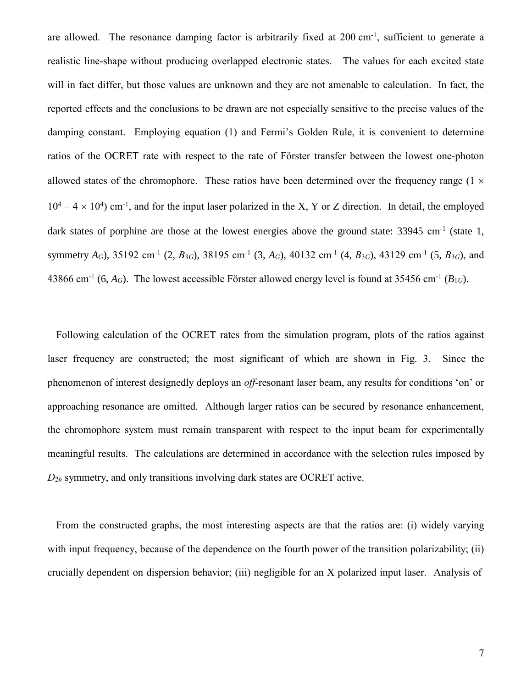are allowed. The resonance damping factor is arbitrarily fixed at 200 cm<sup>-1</sup>, sufficient to generate a realistic line-shape without producing overlapped electronic states. The values for each excited state will in fact differ, but those values are unknown and they are not amenable to calculation. In fact, the reported effects and the conclusions to be drawn are not especially sensitive to the precise values of the damping constant. Employing equation (1) and Fermi's Golden Rule, it is convenient to determine ratios of the OCRET rate with respect to the rate of Förster transfer between the lowest one-photon allowed states of the chromophore. These ratios have been determined over the frequency range  $(1 \times$  $10^4 - 4 \times 10^4$ ) cm<sup>-1</sup>, and for the input laser polarized in the X, Y or Z direction. In detail, the employed dark states of porphine are those at the lowest energies above the ground state: 33945 cm<sup>-1</sup> (state 1, symmetry  $A_G$ ), 35192 cm<sup>-1</sup> (2,  $B_{3G}$ ), 38195 cm<sup>-1</sup> (3,  $A_G$ ), 40132 cm<sup>-1</sup> (4,  $B_{3G}$ ), 43129 cm<sup>-1</sup> (5,  $B_{3G}$ ), and 43866 cm<sup>-1</sup> (6,  $A_G$ ). The lowest accessible Förster allowed energy level is found at 35456 cm<sup>-1</sup> ( $B_{1U}$ ).

Following calculation of the OCRET rates from the simulation program, plots of the ratios against laser frequency are constructed; the most significant of which are shown in Fig. 3. Since the phenomenon of interest designedly deploys an *off*-resonant laser beam, any results for conditions 'on' or approaching resonance are omitted. Although larger ratios can be secured by resonance enhancement, the chromophore system must remain transparent with respect to the input beam for experimentally meaningful results. The calculations are determined in accordance with the selection rules imposed by *D*2*<sup>h</sup>* symmetry, and only transitions involving dark states are OCRET active.

From the constructed graphs, the most interesting aspects are that the ratios are: (i) widely varying with input frequency, because of the dependence on the fourth power of the transition polarizability; (ii) crucially dependent on dispersion behavior; (iii) negligible for an X polarized input laser. Analysis of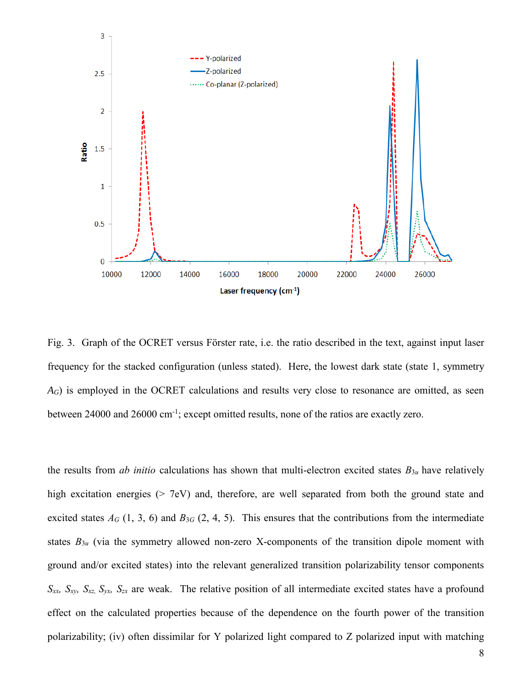

Fig. 3. Graph of the OCRET versus Förster rate, i.e. the ratio described in the text, against input laser frequency for the stacked configuration (unless stated). Here, the lowest dark state (state 1, symmetry *A<sub>G</sub>*) is employed in the OCRET calculations and results very close to resonance are omitted, as seen between 24000 and 26000 cm<sup>-1</sup>; except omitted results, none of the ratios are exactly zero.

the results from *ab initio* calculations has shown that multi-electron excited states  $B_{3u}$  have relatively high excitation energies ( $> 7$ eV) and, therefore, are well separated from both the ground state and excited states  $A_G$  (1, 3, 6) and  $B_{3G}$  (2, 4, 5). This ensures that the contributions from the intermediate states  $B_{3u}$  (via the symmetry allowed non-zero X-components of the transition dipole moment with ground and/or excited states) into the relevant generalized transition polarizability tensor components *Sxx, Sxy, Sxz, Syx, Szx* are weak. The relative position of all intermediate excited states have a profound effect on the calculated properties because of the dependence on the fourth power of the transition polarizability; (iv) often dissimilar for Y polarized light compared to Z polarized input with matching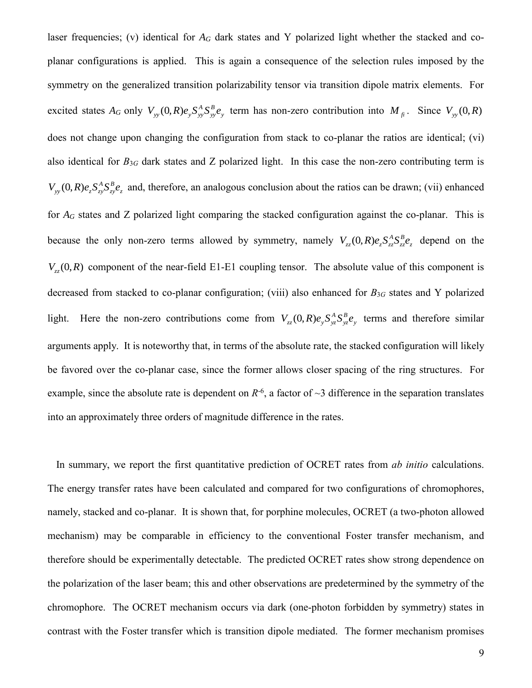laser frequencies; (v) identical for  $A_G$  dark states and Y polarized light whether the stacked and coplanar configurations is applied. This is again a consequence of the selection rules imposed by the symmetry on the generalized transition polarizability tensor via transition dipole matrix elements. For excited states  $A_G$  only  $V_{yy}(0,R)e_{y}S_{yy}^{A}S_{yy}^{B}e_{y}$ *B yy*  $V_{yy}(0,R)e_y S_{yy}^A S_{yy}^B e_y$  term has non-zero contribution into  $M_{fi}$ . Since  $V_{yy}(0,R)$ does not change upon changing the configuration from stack to co-planar the ratios are identical; (vi) also identical for *B*3*<sup>G</sup>* dark states and Z polarized light. In this case the non-zero contributing term is *z B zy*  $V_{yy}(0,R)e_{z}S_{zy}^{A}S_{z}^{B}e_{z}$  and, therefore, an analogous conclusion about the ratios can be drawn; (vii) enhanced for *A<sup>G</sup>* states and Z polarized light comparing the stacked configuration against the co-planar. This is because the only non-zero terms allowed by symmetry, namely  $V_{zz}(0,R)e_{z}S_{zz}^{A}S_{ze}^{B}e_{z}$ *B zz*  $V_{zz}$  (0, *R*) $e_z S_{zz}^A S_{zz}^B e_z$  depend on the  $V_{zz}(0,R)$  component of the near-field E1-E1 coupling tensor. The absolute value of this component is decreased from stacked to co-planar configuration; (viii) also enhanced for *B*3*<sup>G</sup>* states and Y polarized light. Here the non-zero contributions come from  $V_{zz}(0,R)e_y S_{yz}^A S_{yz}^B e_y$ *B yz*  $V_{zz}$  (0,*R*)*e*<sub>y</sub>  $S_{yz}^A S_{yz}^B e_y$  terms and therefore similar arguments apply. It is noteworthy that, in terms of the absolute rate, the stacked configuration will likely be favored over the co-planar case, since the former allows closer spacing of the ring structures. For example, since the absolute rate is dependent on  $R^{-6}$ , a factor of  $\sim$ 3 difference in the separation translates into an approximately three orders of magnitude difference in the rates.

In summary, we report the first quantitative prediction of OCRET rates from *ab initio* calculations. The energy transfer rates have been calculated and compared for two configurations of chromophores, namely, stacked and co-planar. It is shown that, for porphine molecules, OCRET (a two-photon allowed mechanism) may be comparable in efficiency to the conventional Foster transfer mechanism, and therefore should be experimentally detectable. The predicted OCRET rates show strong dependence on the polarization of the laser beam; this and other observations are predetermined by the symmetry of the chromophore. The OCRET mechanism occurs via dark (one-photon forbidden by symmetry) states in contrast with the Foster transfer which is transition dipole mediated. The former mechanism promises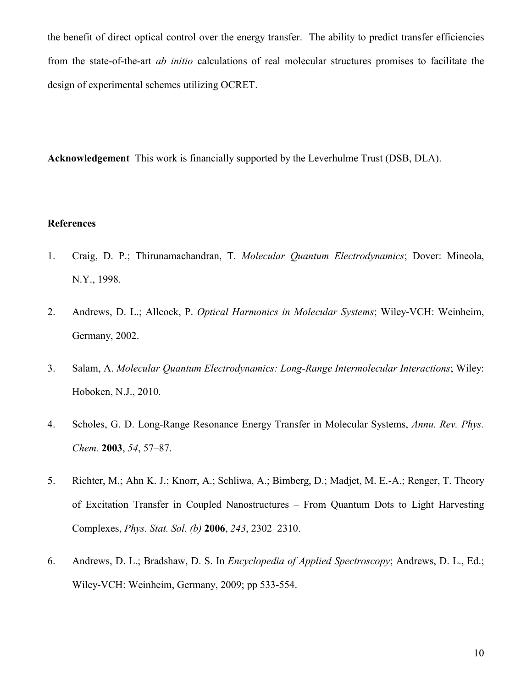the benefit of direct optical control over the energy transfer. The ability to predict transfer efficiencies from the state-of-the-art *ab initio* calculations of real molecular structures promises to facilitate the design of experimental schemes utilizing OCRET.

**Acknowledgement** This work is financially supported by the Leverhulme Trust (DSB, DLA).

## **References**

- 1. Craig, D. P.; Thirunamachandran, T. *Molecular Quantum Electrodynamics*; Dover: Mineola, N.Y., 1998.
- 2. Andrews, D. L.; Allcock, P. *Optical Harmonics in Molecular Systems*; Wiley-VCH: Weinheim, Germany, 2002.
- 3. Salam, A. *Molecular Quantum Electrodynamics: Long-Range Intermolecular Interactions*; Wiley: Hoboken, N.J., 2010.
- 4. Scholes, G. D. Long-Range Resonance Energy Transfer in Molecular Systems, *Annu. Rev. Phys. Chem.* **2003**, *54*, 57–87.
- 5. Richter, M.; Ahn K. J.; Knorr, A.; Schliwa, A.; Bimberg, D.; Madjet, M. E.-A.; Renger, T. Theory of Excitation Transfer in Coupled Nanostructures – From Quantum Dots to Light Harvesting Complexes, *Phys. Stat. Sol. (b)* **2006**, *243*, 2302–2310.
- 6. Andrews, D. L.; Bradshaw, D. S. In *Encyclopedia of Applied Spectroscopy*; Andrews, D. L., Ed.; Wiley-VCH: Weinheim, Germany, 2009; pp 533-554.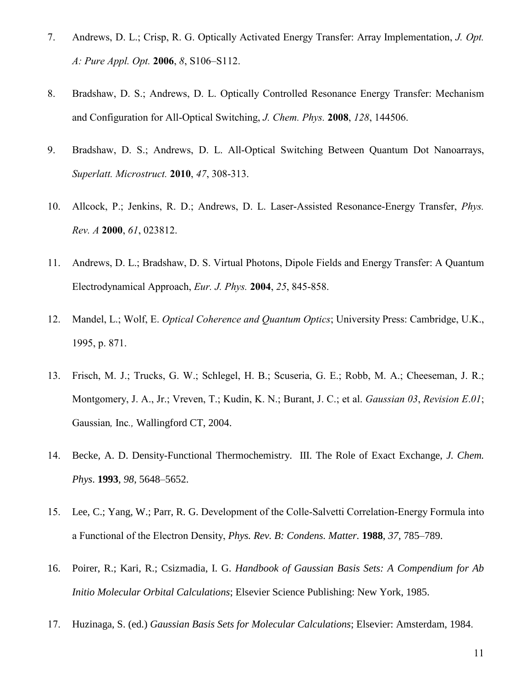- 7. Andrews, D. L.; Crisp, R. G. Optically Activated Energy Transfer: Array Implementation, *J. Opt. A: Pure Appl. Opt.* **2006**, *8*, S106–S112.
- 8. Bradshaw, D. S.; Andrews, D. L. Optically Controlled Resonance Energy Transfer: Mechanism and Configuration for All-Optical Switching, *J. Chem. Phys.* **2008**, *128*, 144506.
- 9. Bradshaw, D. S.; Andrews, D. L. All-Optical Switching Between Quantum Dot Nanoarrays, *Superlatt. Microstruct.* **2010**, *47*, 308-313.
- 10. Allcock, P.; Jenkins, R. D.; Andrews, D. L. Laser-Assisted Resonance-Energy Transfer, *Phys. Rev. A* **2000**, *61*, 023812.
- 11. Andrews, D. L.; Bradshaw, D. S. Virtual Photons, Dipole Fields and Energy Transfer: A Quantum Electrodynamical Approach, *Eur. J. Phys.* **2004**, *25*, 845-858.
- 12. Mandel, L.; Wolf, E. *Optical Coherence and Quantum Optics*; University Press: Cambridge, U.K., 1995, p. 871.
- 13. Frisch, M. J.; Trucks, G. W.; Schlegel, H. B.; Scuseria, G. E.; Robb, M. A.; Cheeseman, J. R.; Montgomery, J. A., Jr.; Vreven, T.; Kudin, K. N.; Burant, J. C.; et al. *Gaussian 03*, *Revision E*.*01*; Gaussian*,* Inc*.,* Wallingford CT, 2004.
- 14. Becke, A. D. Density-Functional Thermochemistry. III. The Role of Exact Exchange, *J. Chem. Phys*. **1993**, *98*, 5648–5652.
- 15. Lee, C.; Yang, W.; Parr, R. G. Development of the Colle-Salvetti Correlation-Energy Formula into a Functional of the Electron Density, *Phys. Rev. B: Condens. Matter.* **1988**, *37*, 785–789.
- 16. Poirer, R.; Kari, R.; Csizmadia, I. G. *Handbook of Gaussian Basis Sets: A Compendium for Ab Initio Molecular Orbital Calculations*; Elsevier Science Publishing: New York, 1985.
- 17. Huzinaga, S. (ed.) *Gaussian Basis Sets for Molecular Calculations*; Elsevier: Amsterdam, 1984.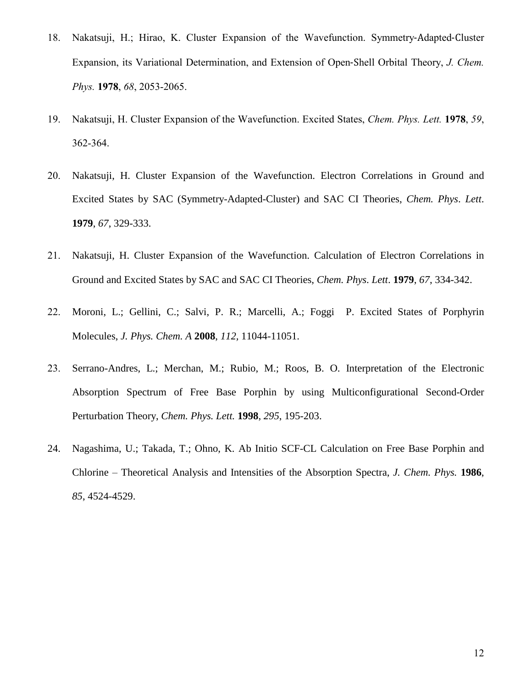- 18. Nakatsuji, H.; Hirao, K. Cluster Expansion of the Wavefunction. Symmetry‐Adapted‐Cluster Expansion, its Variational Determination, and Extension of Open‐Shell Orbital Theory, *J. Chem. Phys.* **1978**, *68*, 2053-2065.
- 19. Nakatsuji, H. Cluster Expansion of the Wavefunction. Excited States, *Chem. Phys. Lett.* **1978**, *59*, 362-364.
- 20. Nakatsuji, H. Cluster Expansion of the Wavefunction. Electron Correlations in Ground and Excited States by SAC (Symmetry-Adapted-Cluster) and SAC CI Theories, *Chem. Phys*. *Lett*. **1979**, *67*, 329-333.
- 21. Nakatsuji, H. Cluster Expansion of the Wavefunction. Calculation of Electron Correlations in Ground and Excited States by SAC and SAC CI Theories, *Chem. Phys*. *Lett*. **1979**, *67*, 334-342.
- 22. Moroni, L.; Gellini, C.; Salvi, P. R.; Marcelli, A.; Foggi P. Excited States of Porphyrin Molecules, *J. Phys. Chem. A* **2008**, *112,* 11044-11051.
- 23. Serrano-Andres, L.; Merchan, M.; Rubio, M.; Roos, B. O. Interpretation of the Electronic Absorption Spectrum of Free Base Porphin by using Multiconfigurational Second-Order Perturbation Theory, *Chem. Phys. Lett.* **1998**, *295*, 195-203.
- 24. Nagashima, U.; Takada, T.; Ohno, K. Ab Initio SCF-CL Calculation on Free Base Porphin and Chlorine – Theoretical Analysis and Intensities of the Absorption Spectra, *J. Chem. Phys.* **1986**, *85*, 4524-4529.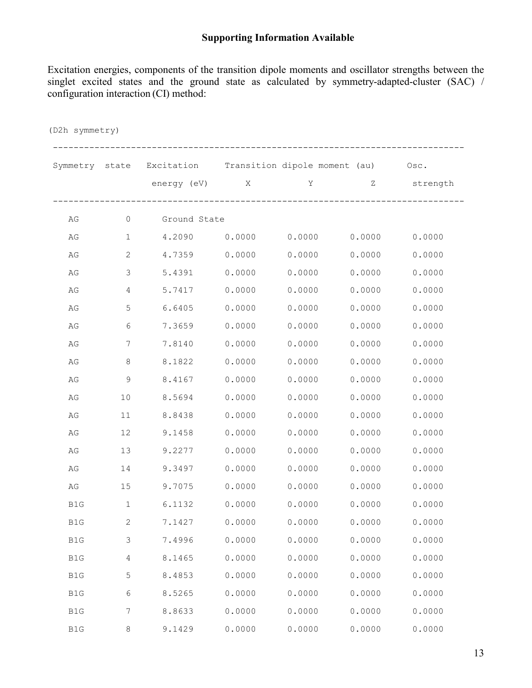## **Supporting Information Available**

Excitation energies, components of the transition dipole moments and oscillator strengths between the singlet excited states and the ground state as calculated by symmetry-adapted-cluster (SAC) / configuration interaction (CI) method:

| (D2h symmetry) |                |                                                              |        |                 |                                                                 |          |  |  |
|----------------|----------------|--------------------------------------------------------------|--------|-----------------|-----------------------------------------------------------------|----------|--|--|
|                |                | Symmetry state Excitation Transition dipole moment (au) Osc. |        |                 |                                                                 |          |  |  |
|                |                | energy (eV) X                                                |        | $\mathbf Y$     | $\mathbf{Z}$ and $\mathbf{Z}$ and $\mathbf{Z}$ and $\mathbf{Z}$ | strength |  |  |
| AG             | $\circ$        | Ground State                                                 |        |                 |                                                                 |          |  |  |
| AG             | $\mathbf{1}$   | 4.2090                                                       |        | $0.0000$ 0.0000 | 0.0000                                                          | 0.0000   |  |  |
| AG             | 2              | 4.7359 0.0000                                                |        | 0.0000          | 0.0000                                                          | 0.0000   |  |  |
| AG             | 3              | 5.4391                                                       | 0.0000 | 0.0000          | 0.0000                                                          | 0.0000   |  |  |
| AG             | $\overline{4}$ | 5.7417                                                       | 0.0000 | 0.0000          | 0.0000                                                          | 0.0000   |  |  |
| AG             | 5              | 6.6405                                                       | 0.0000 | 0.0000          | 0.0000                                                          | 0.0000   |  |  |
| AG             | 6              | 7.3659                                                       | 0.0000 | 0.0000          | 0.0000                                                          | 0.0000   |  |  |
| AG             | 7              | 7.8140                                                       | 0.0000 | 0.0000          | 0.0000                                                          | 0.0000   |  |  |
| AG             | 8              | 8.1822                                                       | 0.0000 | 0.0000          | 0.0000                                                          | 0.0000   |  |  |
| AG             | 9              | 8.4167                                                       | 0.0000 | 0.0000          | 0.0000                                                          | 0.0000   |  |  |
| AG             | 10             | 8.5694                                                       | 0.0000 | 0.0000          | 0.0000                                                          | 0.0000   |  |  |
| AG             | 11             | 8.8438                                                       | 0.0000 | 0.0000          | 0.0000                                                          | 0.0000   |  |  |
| AG             | 12             | 9.1458                                                       | 0.0000 | 0.0000          | 0.0000                                                          | 0.0000   |  |  |
| AG             | 13             | 9.2277                                                       | 0.0000 | 0.0000          | 0.0000                                                          | 0.0000   |  |  |
| AG             | 14             | 9.3497                                                       | 0.0000 | 0.0000          | 0.0000                                                          | 0.0000   |  |  |
| AG             | 15             | 9.7075                                                       | 0.0000 | 0.0000          | 0.0000                                                          | 0.0000   |  |  |
| B1G            | $\mathbf 1$    | 6.1132                                                       | 0.0000 | 0.0000          | 0.0000                                                          | 0.0000   |  |  |
| B1G            | 2              | 7.1427                                                       | 0.0000 | 0.0000          | 0.0000                                                          | 0.0000   |  |  |
| $\mathtt{B1G}$ | 3              | 7.4996                                                       | 0.0000 | 0.0000          | 0.0000                                                          | 0.0000   |  |  |
| B1G            | 4              | 8.1465                                                       | 0.0000 | 0.0000          | 0.0000                                                          | 0.0000   |  |  |
| $\mathtt{B1G}$ | 5              | 8.4853                                                       | 0.0000 | 0.0000          | 0.0000                                                          | 0.0000   |  |  |
| $\mathtt{B1G}$ | 6              | 8.5265                                                       | 0.0000 | 0.0000          | 0.0000                                                          | 0.0000   |  |  |
| $\mathtt{B1G}$ | 7              | 8.8633                                                       | 0.0000 | 0.0000          | 0.0000                                                          | 0.0000   |  |  |
| $\mathtt{B1G}$ | 8              | 9.1429                                                       | 0.0000 | 0.0000          | 0.0000                                                          | 0.0000   |  |  |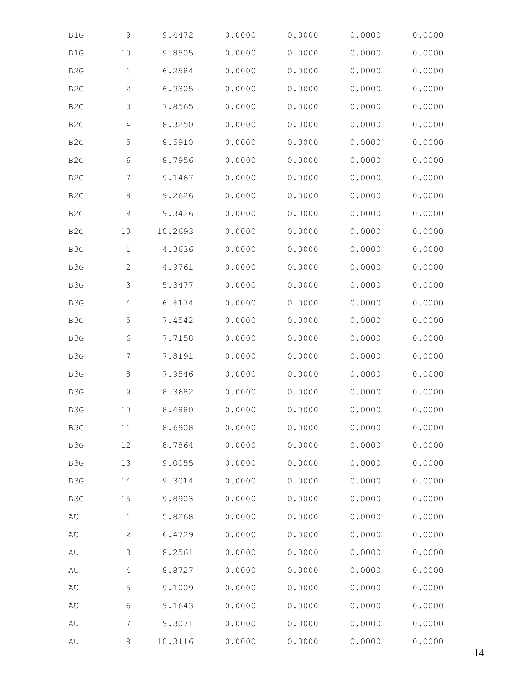| B1G              | 9              | 9.4472  | 0.0000 | 0.0000 | 0.0000 | 0.0000 |
|------------------|----------------|---------|--------|--------|--------|--------|
| B1G              | 10             | 9.8505  | 0.0000 | 0.0000 | 0.0000 | 0.0000 |
| B <sub>2</sub> G | $\mathbf 1$    | 6.2584  | 0.0000 | 0.0000 | 0.0000 | 0.0000 |
| B <sub>2</sub> G | $\mathbf{2}$   | 6.9305  | 0.0000 | 0.0000 | 0.0000 | 0.0000 |
| B <sub>2</sub> G | 3              | 7.8565  | 0.0000 | 0.0000 | 0.0000 | 0.0000 |
| B <sub>2</sub> G | $\overline{4}$ | 8.3250  | 0.0000 | 0.0000 | 0.0000 | 0.0000 |
| B <sub>2</sub> G | 5              | 8.5910  | 0.0000 | 0.0000 | 0.0000 | 0.0000 |
| B <sub>2</sub> G | 6              | 8.7956  | 0.0000 | 0.0000 | 0.0000 | 0.0000 |
| B <sub>2</sub> G | 7              | 9.1467  | 0.0000 | 0.0000 | 0.0000 | 0.0000 |
| B <sub>2</sub> G | $\,8\,$        | 9.2626  | 0.0000 | 0.0000 | 0.0000 | 0.0000 |
| B <sub>2</sub> G | $\mathsf 9$    | 9.3426  | 0.0000 | 0.0000 | 0.0000 | 0.0000 |
| B <sub>2</sub> G | 10             | 10.2693 | 0.0000 | 0.0000 | 0.0000 | 0.0000 |
| B3G              | $\mathbf 1$    | 4.3636  | 0.0000 | 0.0000 | 0.0000 | 0.0000 |
| B3G              | $\mathbf{2}$   | 4.9761  | 0.0000 | 0.0000 | 0.0000 | 0.0000 |
| B3G              | 3              | 5.3477  | 0.0000 | 0.0000 | 0.0000 | 0.0000 |
| B3G              | $\overline{4}$ | 6.6174  | 0.0000 | 0.0000 | 0.0000 | 0.0000 |
| B3G              | 5              | 7.4542  | 0.0000 | 0.0000 | 0.0000 | 0.0000 |
| B3G              | 6              | 7.7158  | 0.0000 | 0.0000 | 0.0000 | 0.0000 |
| B3G              | 7              | 7.8191  | 0.0000 | 0.0000 | 0.0000 | 0.0000 |
| B3G              | $\,8\,$        | 7.9546  | 0.0000 | 0.0000 | 0.0000 | 0.0000 |
| B3G              | $\mathsf 9$    | 8.3682  | 0.0000 | 0.0000 | 0.0000 | 0.0000 |
| B3G              | $10$           | 8.4880  | 0.0000 | 0.0000 | 0.0000 | 0.0000 |
| B3G              | 11             | 8.6908  | 0.0000 | 0.0000 | 0.0000 | 0.0000 |
| B3G              | 12             | 8.7864  | 0.0000 | 0.0000 | 0.0000 | 0.0000 |
| B3G              | 13             | 9.0055  | 0.0000 | 0.0000 | 0.0000 | 0.0000 |
| B3G              | 14             | 9.3014  | 0.0000 | 0.0000 | 0.0000 | 0.0000 |
| B3G              | 15             | 9.8903  | 0.0000 | 0.0000 | 0.0000 | 0.0000 |
| AU               | $1\,$          | 5.8268  | 0.0000 | 0.0000 | 0.0000 | 0.0000 |
| $\hbox{AU}$      | $\mathbf{2}$   | 6.4729  | 0.0000 | 0.0000 | 0.0000 | 0.0000 |
| $\hbox{AU}$      | 3              | 8.2561  | 0.0000 | 0.0000 | 0.0000 | 0.0000 |
| AU               | 4              | 8.8727  | 0.0000 | 0.0000 | 0.0000 | 0.0000 |
| AU               | 5              | 9.1009  | 0.0000 | 0.0000 | 0.0000 | 0.0000 |
| $\hbox{AU}$      | 6              | 9.1643  | 0.0000 | 0.0000 | 0.0000 | 0.0000 |
| AU               | 7              | 9.3071  | 0.0000 | 0.0000 | 0.0000 | 0.0000 |
| $\hbox{AU}$      | 8              | 10.3116 | 0.0000 | 0.0000 | 0.0000 | 0.0000 |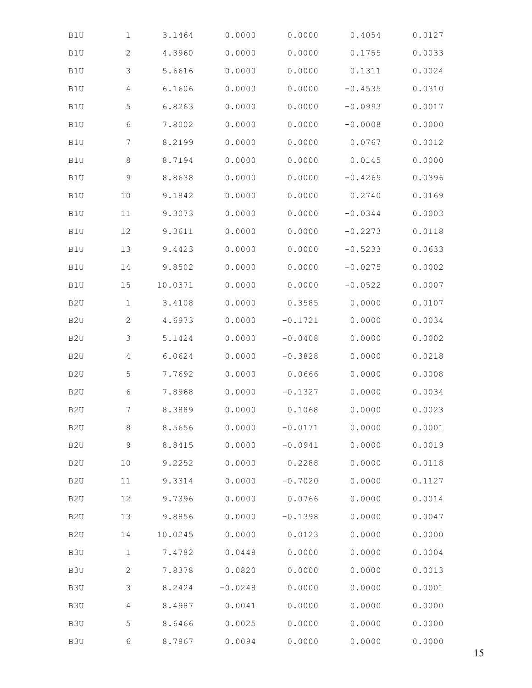| B1U              | $\mathbf 1$  | 3.1464  | 0.0000    | 0.0000    | 0.4054    | 0.0127 |
|------------------|--------------|---------|-----------|-----------|-----------|--------|
| B1U              | $\mathbf{2}$ | 4.3960  | 0.0000    | 0.0000    | 0.1755    | 0.0033 |
| B1U              | 3            | 5.6616  | 0.0000    | 0.0000    | 0.1311    | 0.0024 |
| B1U              | 4            | 6.1606  | 0.0000    | 0.0000    | $-0.4535$ | 0.0310 |
| B1U              | 5            | 6.8263  | 0.0000    | 0.0000    | $-0.0993$ | 0.0017 |
| B1U              | 6            | 7.8002  | 0.0000    | 0.0000    | $-0.0008$ | 0.0000 |
| B1U              | 7            | 8.2199  | 0.0000    | 0.0000    | 0.0767    | 0.0012 |
| B1U              | $\,8\,$      | 8.7194  | 0.0000    | 0.0000    | 0.0145    | 0.0000 |
| B1U              | $\mathsf 9$  | 8.8638  | 0.0000    | 0.0000    | $-0.4269$ | 0.0396 |
| B1U              | $10$         | 9.1842  | 0.0000    | 0.0000    | 0.2740    | 0.0169 |
| B1U              | 11           | 9.3073  | 0.0000    | 0.0000    | $-0.0344$ | 0.0003 |
| B1U              | 12           | 9.3611  | 0.0000    | 0.0000    | $-0.2273$ | 0.0118 |
| B1U              | 13           | 9.4423  | 0.0000    | 0.0000    | $-0.5233$ | 0.0633 |
| B1U              | 14           | 9.8502  | 0.0000    | 0.0000    | $-0.0275$ | 0.0002 |
| B1U              | 15           | 10.0371 | 0.0000    | 0.0000    | $-0.0522$ | 0.0007 |
| B <sub>2</sub> U | $1\,$        | 3.4108  | 0.0000    | 0.3585    | 0.0000    | 0.0107 |
| B <sub>2</sub> U | $\mathbf{2}$ | 4.6973  | 0.0000    | $-0.1721$ | 0.0000    | 0.0034 |
| B <sub>2</sub> U | 3            | 5.1424  | 0.0000    | $-0.0408$ | 0.0000    | 0.0002 |
| B <sub>2</sub> U | 4            | 6.0624  | 0.0000    | $-0.3828$ | 0.0000    | 0.0218 |
| B <sub>2</sub> U | 5            | 7.7692  | 0.0000    | 0.0666    | 0.0000    | 0.0008 |
| B <sub>2</sub> U | 6            | 7.8968  | 0.0000    | $-0.1327$ | 0.0000    | 0.0034 |
| B <sub>2</sub> U | 7            | 8.3889  | 0.0000    | 0.1068    | 0.0000    | 0.0023 |
| B <sub>2</sub> U | $\,8\,$      | 8.5656  | 0.0000    | $-0.0171$ | 0.0000    | 0.0001 |
| B <sub>2</sub> U | 9            | 8.8415  | 0.0000    | $-0.0941$ | 0.0000    | 0.0019 |
| B <sub>2</sub> U | 10           | 9.2252  | 0.0000    | 0.2288    | 0.0000    | 0.0118 |
| B <sub>2</sub> U | 11           | 9.3314  | 0.0000    | $-0.7020$ | 0.0000    | 0.1127 |
| B <sub>2</sub> U | 12           | 9.7396  | 0.0000    | 0.0766    | 0.0000    | 0.0014 |
| B <sub>2</sub> U | 13           | 9.8856  | 0.0000    | $-0.1398$ | 0.0000    | 0.0047 |
| B <sub>2</sub> U | 14           | 10.0245 | 0.0000    | 0.0123    | 0.0000    | 0.0000 |
| B3U              | $\mathbf{1}$ | 7.4782  | 0.0448    | 0.0000    | 0.0000    | 0.0004 |
| B3U              | $\mathbf{2}$ | 7.8378  | 0.0820    | 0.0000    | 0.0000    | 0.0013 |
| B3U              | 3            | 8.2424  | $-0.0248$ | 0.0000    | 0.0000    | 0.0001 |
| B3U              | 4            | 8.4987  | 0.0041    | 0.0000    | 0.0000    | 0.0000 |
| B3U              | 5            | 8.6466  | 0.0025    | 0.0000    | 0.0000    | 0.0000 |
| B3U              | 6            | 8.7867  | 0.0094    | 0.0000    | 0.0000    | 0.0000 |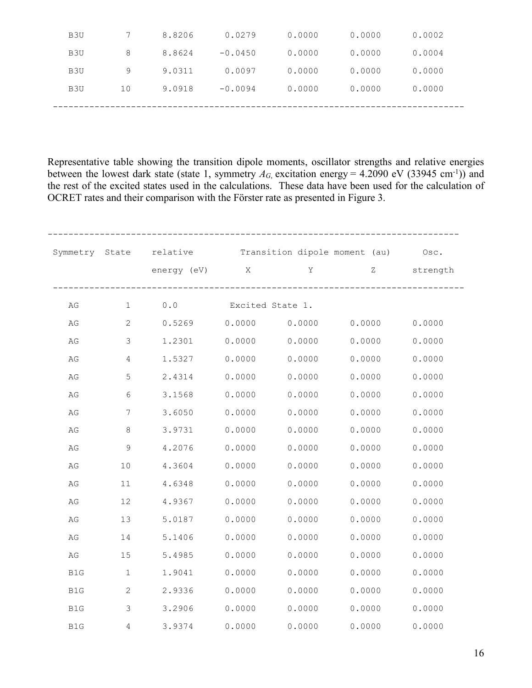| B3U             | 7  | 8.8206 | 0.0279    | 0.0000 | 0.0000 | 0.0002 |
|-----------------|----|--------|-----------|--------|--------|--------|
| B <sub>3U</sub> | 8  | 8.8624 | $-0.0450$ | 0.0000 | 0.0000 | 0.0004 |
| B <sub>3U</sub> | 9  | 9.0311 | 0.0097    | 0.0000 | 0.0000 | 0.0000 |
| B <sub>3U</sub> | 10 | 9.0918 | $-0.0094$ | 0.0000 | 0.0000 | 0.0000 |
|                 |    |        |           |        |        |        |

Representative table showing the transition dipole moments, oscillator strengths and relative energies between the lowest dark state (state 1, symmetry  $A_G$ , excitation energy = 4.2090 eV (33945 cm<sup>-1</sup>)) and the rest of the excited states used in the calculations. These data have been used for the calculation of OCRET rates and their comparison with the Förster rate as presented in Figure 3.

|                        |                        | Symmetry State relative Transition dipole moment (au) Osc. |        | energy (eV) X Y |        | Z strength |
|------------------------|------------------------|------------------------------------------------------------|--------|-----------------|--------|------------|
| AG                     | $1 \quad \blacksquare$ | 0.0 Excited State 1.                                       |        |                 |        |            |
| $\mathbb{A}\mathbb{G}$ | 2                      | $0.5269$ $0.0000$                                          |        | 0.0000          | 0.0000 | 0.0000     |
| AG                     | $\mathcal{E}$          | 1.2301                                                     | 0.0000 | 0.0000          | 0.0000 | 0.0000     |
| $\mathbb{A}\mathbb{G}$ | $\overline{4}$         | 1.5327                                                     | 0.0000 | 0.0000          | 0.0000 | 0.0000     |
| AG                     | $\mathsf S$            | 2.4314                                                     | 0.0000 | 0.0000          | 0.0000 | 0.0000     |
| AG                     | $6\,$                  | 3.1568                                                     | 0.0000 | 0.0000          | 0.0000 | 0.0000     |
| $\mathbb{A}\mathbb{G}$ | $7\phantom{.0}$        | 3.6050                                                     | 0.0000 | 0.0000          | 0.0000 | 0.0000     |
| $\mathbb{A}\mathbb{G}$ | 8                      | 3.9731                                                     | 0.0000 | 0.0000          | 0.0000 | 0.0000     |
| AG                     | $\mathsf 9$            | 4.2076                                                     | 0.0000 | 0.0000          | 0.0000 | 0.0000     |
| $\mathbb{A}\mathbb{G}$ | $10$                   | 4.3604                                                     | 0.0000 | 0.0000          | 0.0000 | 0.0000     |
| AG                     | 11                     | 4.6348                                                     | 0.0000 | 0.0000          | 0.0000 | 0.0000     |
| AG                     | 12                     | 4.9367                                                     | 0.0000 | 0.0000          | 0.0000 | 0.0000     |
| $\mathbb{A}\mathbb{G}$ | 13                     | 5.0187                                                     | 0.0000 | 0.0000          | 0.0000 | 0.0000     |
| AG                     | 14                     | 5.1406                                                     | 0.0000 | 0.0000          | 0.0000 | 0.0000     |
| AG                     | 15                     | 5.4985                                                     | 0.0000 | 0.0000          | 0.0000 | 0.0000     |
| B1G                    | $\mathbf 1$            | 1.9041                                                     | 0.0000 | 0.0000          | 0.0000 | 0.0000     |
| B1G                    | $\mathbf{2}$           | 2.9336                                                     | 0.0000 | 0.0000          | 0.0000 | 0.0000     |
| B1G                    | 3                      | 3.2906                                                     | 0.0000 | 0.0000          | 0.0000 | 0.0000     |
| B1G                    | $\overline{4}$         | 3.9374                                                     | 0.0000 | 0.0000          | 0.0000 | 0.0000     |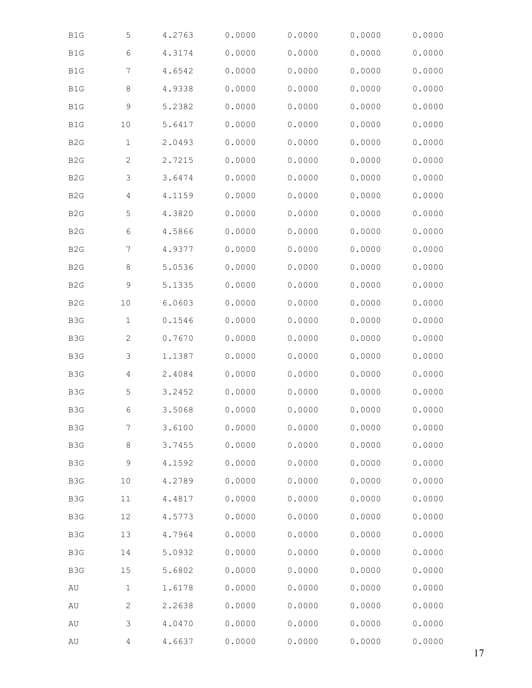| B1G              | 5              | 4.2763 | 0.0000 | 0.0000 | 0.0000 | 0.0000 |
|------------------|----------------|--------|--------|--------|--------|--------|
| B1G              | 6              | 4.3174 | 0.0000 | 0.0000 | 0.0000 | 0.0000 |
| B1G              | 7              | 4.6542 | 0.0000 | 0.0000 | 0.0000 | 0.0000 |
| $\mathtt{B1G}$   | $\,8\,$        | 4.9338 | 0.0000 | 0.0000 | 0.0000 | 0.0000 |
| B1G              | 9              | 5.2382 | 0.0000 | 0.0000 | 0.0000 | 0.0000 |
| B1G              | $10$           | 5.6417 | 0.0000 | 0.0000 | 0.0000 | 0.0000 |
| B <sub>2</sub> G | $1\,$          | 2.0493 | 0.0000 | 0.0000 | 0.0000 | 0.0000 |
| B <sub>2</sub> G | $\mathbf{2}$   | 2.7215 | 0.0000 | 0.0000 | 0.0000 | 0.0000 |
| B <sub>2</sub> G | 3              | 3.6474 | 0.0000 | 0.0000 | 0.0000 | 0.0000 |
| B <sub>2</sub> G | $\overline{4}$ | 4.1159 | 0.0000 | 0.0000 | 0.0000 | 0.0000 |
| B <sub>2</sub> G | 5              | 4.3820 | 0.0000 | 0.0000 | 0.0000 | 0.0000 |
| B <sub>2</sub> G | 6              | 4.5866 | 0.0000 | 0.0000 | 0.0000 | 0.0000 |
| B <sub>2</sub> G | 7              | 4.9377 | 0.0000 | 0.0000 | 0.0000 | 0.0000 |
| B <sub>2</sub> G | 8              | 5.0536 | 0.0000 | 0.0000 | 0.0000 | 0.0000 |
| B <sub>2</sub> G | 9              | 5.1335 | 0.0000 | 0.0000 | 0.0000 | 0.0000 |
| B <sub>2</sub> G | 10             | 6.0603 | 0.0000 | 0.0000 | 0.0000 | 0.0000 |
| B3G              | 1              | 0.1546 | 0.0000 | 0.0000 | 0.0000 | 0.0000 |
| B3G              | $\mathbf{2}$   | 0.7670 | 0.0000 | 0.0000 | 0.0000 | 0.0000 |
| B3G              | 3              | 1.1387 | 0.0000 | 0.0000 | 0.0000 | 0.0000 |
| B3G              | $\overline{4}$ | 2.4084 | 0.0000 | 0.0000 | 0.0000 | 0.0000 |
| B3G              | 5              | 3.2452 | 0.0000 | 0.0000 | 0.0000 | 0.0000 |
| B3G              | 6              | 3.5068 | 0.0000 | 0.0000 | 0.0000 | 0.0000 |
| B3G              | 7              | 3.6100 | 0.0000 | 0.0000 | 0.0000 | 0.0000 |
| B3G              | 8              | 3.7455 | 0.0000 | 0.0000 | 0.0000 | 0.0000 |
| B3G              | 9              | 4.1592 | 0.0000 | 0.0000 | 0.0000 | 0.0000 |
| B3G              | 10             | 4.2789 | 0.0000 | 0.0000 | 0.0000 | 0.0000 |
| B3G              | 11             | 4.4817 | 0.0000 | 0.0000 | 0.0000 | 0.0000 |
| B3G              | 12             | 4.5773 | 0.0000 | 0.0000 | 0.0000 | 0.0000 |
| B3G              | 13             | 4.7964 | 0.0000 | 0.0000 | 0.0000 | 0.0000 |
| B3G              | 14             | 5.0932 | 0.0000 | 0.0000 | 0.0000 | 0.0000 |
| B3G              | 15             | 5.6802 | 0.0000 | 0.0000 | 0.0000 | 0.0000 |
| AU               | $1\,$          | 1.6178 | 0.0000 | 0.0000 | 0.0000 | 0.0000 |
| $\hbox{AU}$      | 2              | 2.2638 | 0.0000 | 0.0000 | 0.0000 | 0.0000 |
| AU               | 3              | 4.0470 | 0.0000 | 0.0000 | 0.0000 | 0.0000 |
| AU               | 4              | 4.6637 | 0.0000 | 0.0000 | 0.0000 | 0.0000 |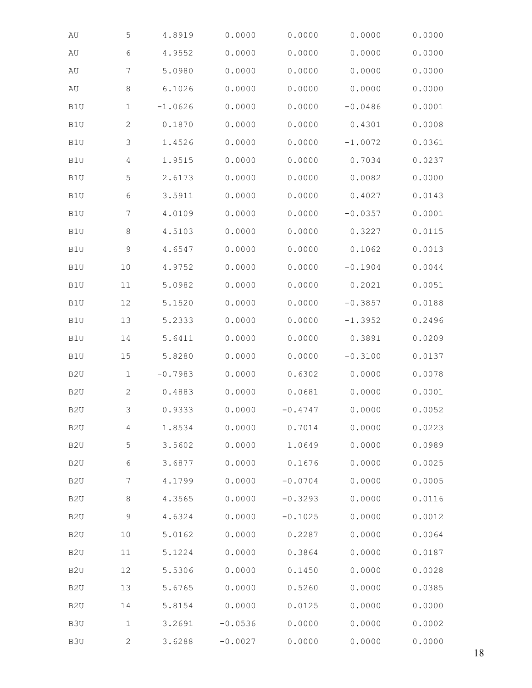| $\hbox{AU}$      | $\mathsf S$    | 4.8919    | 0.0000    | 0.0000    | 0.0000    | 0.0000 |
|------------------|----------------|-----------|-----------|-----------|-----------|--------|
| AU               | 6              | 4.9552    | 0.0000    | 0.0000    | 0.0000    | 0.0000 |
| $\hbox{AU}$      | 7              | 5.0980    | 0.0000    | 0.0000    | 0.0000    | 0.0000 |
| AU               | $\,8\,$        | 6.1026    | 0.0000    | 0.0000    | 0.0000    | 0.0000 |
| B1U              | $\mathbf 1$    | $-1.0626$ | 0.0000    | 0.0000    | $-0.0486$ | 0.0001 |
| B1U              | $\mathbf{2}$   | 0.1870    | 0.0000    | 0.0000    | 0.4301    | 0.0008 |
| B1U              | 3              | 1.4526    | 0.0000    | 0.0000    | $-1.0072$ | 0.0361 |
| B1U              | $\overline{4}$ | 1.9515    | 0.0000    | 0.0000    | 0.7034    | 0.0237 |
| B1U              | 5              | 2.6173    | 0.0000    | 0.0000    | 0.0082    | 0.0000 |
| B1U              | 6              | 3.5911    | 0.0000    | 0.0000    | 0.4027    | 0.0143 |
| $\mathtt{B1U}$   | 7              | 4.0109    | 0.0000    | 0.0000    | $-0.0357$ | 0.0001 |
| B1U              | 8              | 4.5103    | 0.0000    | 0.0000    | 0.3227    | 0.0115 |
| B1U              | 9              | 4.6547    | 0.0000    | 0.0000    | 0.1062    | 0.0013 |
| B1U              | 10             | 4.9752    | 0.0000    | 0.0000    | $-0.1904$ | 0.0044 |
| B1U              | 11             | 5.0982    | 0.0000    | 0.0000    | 0.2021    | 0.0051 |
| B1U              | 12             | 5.1520    | 0.0000    | 0.0000    | $-0.3857$ | 0.0188 |
| B1U              | 13             | 5.2333    | 0.0000    | 0.0000    | $-1.3952$ | 0.2496 |
| B1U              | 14             | 5.6411    | 0.0000    | 0.0000    | 0.3891    | 0.0209 |
| B1U              | 15             | 5.8280    | 0.0000    | 0.0000    | $-0.3100$ | 0.0137 |
| B <sub>2</sub> U | $\mathbf 1$    | $-0.7983$ | 0.0000    | 0.6302    | 0.0000    | 0.0078 |
| B <sub>2</sub> U | $\mathbf{2}$   | 0.4883    | 0.0000    | 0.0681    | 0.0000    | 0.0001 |
| B <sub>2</sub> U | 3              | 0.9333    | 0.0000    | $-0.4747$ | 0.0000    | 0.0052 |
| B <sub>2</sub> U | 4              | 1.8534    | 0.0000    | 0.7014    | 0.0000    | 0.0223 |
| B <sub>2</sub> U | 5              | 3.5602    | 0.0000    | 1.0649    | 0.0000    | 0.0989 |
| B <sub>2</sub> U | 6              | 3.6877    | 0.0000    | 0.1676    | 0.0000    | 0.0025 |
| B <sub>2</sub> U | $7\phantom{.}$ | 4.1799    | 0.0000    | $-0.0704$ | 0.0000    | 0.0005 |
| B <sub>2</sub> U | 8              | 4.3565    | 0.0000    | $-0.3293$ | 0.0000    | 0.0116 |
| B <sub>2</sub> U | 9              | 4.6324    | 0.0000    | $-0.1025$ | 0.0000    | 0.0012 |
| B <sub>2</sub> U | 10             | 5.0162    | 0.0000    | 0.2287    | 0.0000    | 0.0064 |
| B <sub>2</sub> U | 11             | 5.1224    | 0.0000    | 0.3864    | 0.0000    | 0.0187 |
| B <sub>2</sub> U | 12             | 5.5306    | 0.0000    | 0.1450    | 0.0000    | 0.0028 |
| B <sub>2</sub> U | 13             | 5.6765    | 0.0000    | 0.5260    | 0.0000    | 0.0385 |
| B <sub>2</sub> U | 14             | 5.8154    | 0.0000    | 0.0125    | 0.0000    | 0.0000 |
| B3U              | $\mathbf 1$    | 3.2691    | $-0.0536$ | 0.0000    | 0.0000    | 0.0002 |
| B3U              | 2              | 3.6288    | $-0.0027$ | 0.0000    | 0.0000    | 0.0000 |